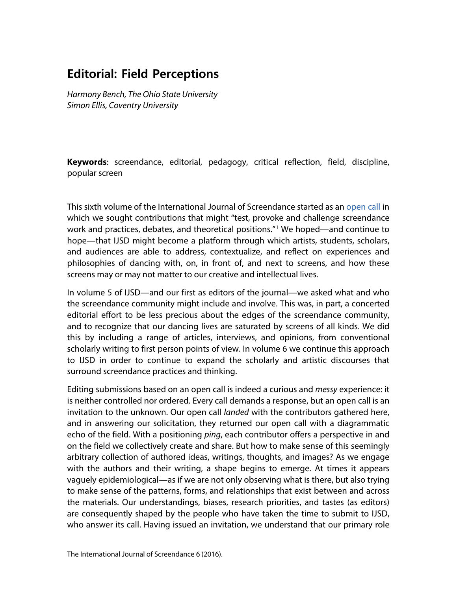# **Editorial: Field Perceptions**

*Harmony Bench, The Ohio State University Simon Ellis, Coventry University*

**Keywords**: screendance, editorial, pedagogy, critical reflection, field, discipline, popular screen

This sixth volume of the International Journal of Screendance started as an [open call](https://screendance.wordpress.com/2015/05/17/int-j-of-screendance-open-call-for-submissions-volume-6/) in which we sought contributions that might "test, provoke and challenge screendance work and practices, debates, and theoretical positions.<sup>"[1](#page-9-0)</sup> We hoped—and continue to hope—that IJSD might become a platform through which artists, students, scholars, and audiences are able to address, contextualize, and reflect on experiences and philosophies of dancing with, on, in front of, and next to screens, and how these screens may or may not matter to our creative and intellectual lives.

In volume 5 of IJSD—and our first as editors of the journal—we asked what and who the screendance community might include and involve. This was, in part, a concerted editorial effort to be less precious about the edges of the screendance community, and to recognize that our dancing lives are saturated by screens of all kinds. We did this by including a range of articles, interviews, and opinions, from conventional scholarly writing to first person points of view. In volume 6 we continue this approach to IJSD in order to continue to expand the scholarly and artistic discourses that surround screendance practices and thinking.

Editing submissions based on an open call is indeed a curious and *messy* experience: it is neither controlled nor ordered. Every call demands a response, but an open call is an invitation to the unknown. Our open call *landed* with the contributors gathered here, and in answering our solicitation, they returned our open call with a diagrammatic echo of the field. With a positioning *ping*, each contributor offers a perspective in and on the field we collectively create and share. But how to make sense of this seemingly arbitrary collection of authored ideas, writings, thoughts, and images? As we engage with the authors and their writing, a shape begins to emerge. At times it appears vaguely epidemiological—as if we are not only observing what is there, but also trying to make sense of the patterns, forms, and relationships that exist between and across the materials. Our understandings, biases, research priorities, and tastes (as editors) are consequently shaped by the people who have taken the time to submit to IJSD, who answer its call. Having issued an invitation, we understand that our primary role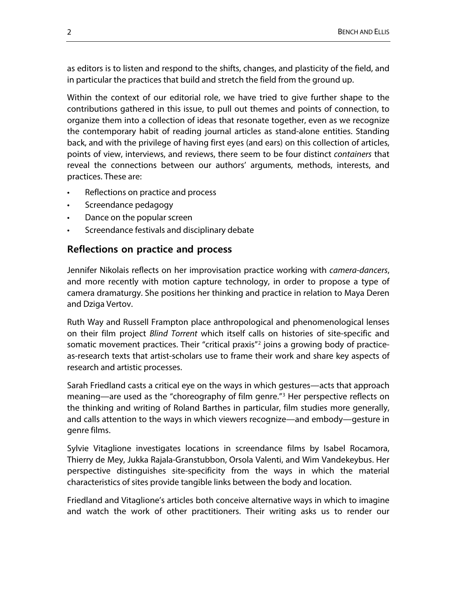as editors is to listen and respond to the shifts, changes, and plasticity of the field, and in particular the practices that build and stretch the field from the ground up.

Within the context of our editorial role, we have tried to give further shape to the contributions gathered in this issue, to pull out themes and points of connection, to organize them into a collection of ideas that resonate together, even as we recognize the contemporary habit of reading journal articles as stand-alone entities. Standing back, and with the privilege of having first eyes (and ears) on this collection of articles, points of view, interviews, and reviews, there seem to be four distinct *containers* that reveal the connections between our authors' arguments, methods, interests, and practices. These are:

- Reflections on practice and process
- Screendance pedagogy
- Dance on the popular screen
- Screendance festivals and disciplinary debate

#### **Reflections on practice and process**

Jennifer Nikolais reflects on her improvisation practice working with *camera-dancers*, and more recently with motion capture technology, in order to propose a type of camera dramaturgy. She positions her thinking and practice in relation to Maya Deren and Dziga Vertov.

Ruth Way and Russell Frampton place anthropological and phenomenological lenses on their film project *Blind Torrent* which itself calls on histories of site-specific and somatic movement practices. Their "critical praxis"[2](#page-9-1) joins a growing body of practiceas-research texts that artist-scholars use to frame their work and share key aspects of research and artistic processes.

Sarah Friedland casts a critical eye on the ways in which gestures—acts that approach meaning—are used as the "choreography of film genre."[3](#page-9-2) Her perspective reflects on the thinking and writing of Roland Barthes in particular, film studies more generally, and calls attention to the ways in which viewers recognize—and embody—gesture in genre films.

Sylvie Vitaglione investigates locations in screendance films by Isabel Rocamora, Thierry de Mey, Jukka Rajala-Granstubbon, Orsola Valenti, and Wim Vandekeybus. Her perspective distinguishes site-specificity from the ways in which the material characteristics of sites provide tangible links between the body and location.

Friedland and Vitaglione's articles both conceive alternative ways in which to imagine and watch the work of other practitioners. Their writing asks us to render our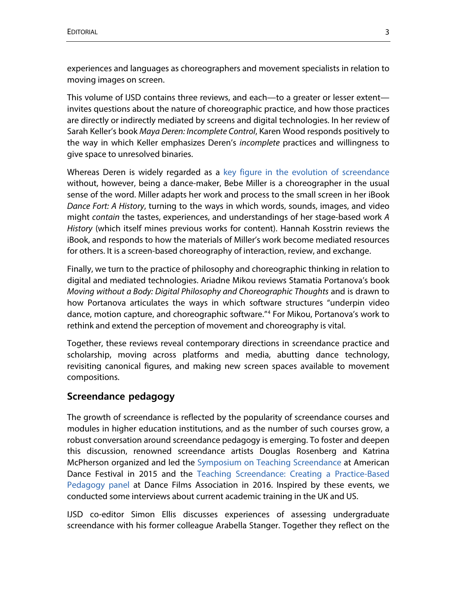experiences and languages as choreographers and movement specialists in relation to moving images on screen.

This volume of IJSD contains three reviews, and each—to a greater or lesser extent invites questions about the nature of choreographic practice, and how those practices are directly or indirectly mediated by screens and digital technologies. In her review of Sarah Keller's book *Maya Deren: Incomplete Control*, Karen Wood responds positively to the way in which Keller emphasizes Deren's *incomplete* practices and willingness to give space to unresolved binaries.

Whereas Deren is widely regarded as a [key figure in the evolution of screendance](http://journals.library.wisc.edu/index.php/screendance/article/viewFile/673/684) without, however, being a dance-maker, Bebe Miller is a choreographer in the usual sense of the word. Miller adapts her work and process to the small screen in her iBook *Dance Fort: A History*, turning to the ways in which words, sounds, images, and video might *contain* the tastes, experiences, and understandings of her stage-based work *A History* (which itself mines previous works for content). Hannah Kosstrin reviews the iBook, and responds to how the materials of Miller's work become mediated resources for others. It is a screen-based choreography of interaction, review, and exchange.

Finally, we turn to the practice of philosophy and choreographic thinking in relation to digital and mediated technologies. Ariadne Mikou reviews Stamatia Portanova's book *Moving without a Body: Digital Philosophy and Choreographic Thoughts* and is drawn to how Portanova articulates the ways in which software structures "underpin video dance, motion capture, and choreographic software."[4](#page-9-3) For Mikou, Portanova's work to rethink and extend the perception of movement and choreography is vital.

Together, these reviews reveal contemporary directions in screendance practice and scholarship, moving across platforms and media, abutting dance technology, revisiting canonical figures, and making new screen spaces available to movement compositions.

### **Screendance pedagogy**

The growth of screendance is reflected by the popularity of screendance courses and modules in higher education institutions, and as the number of such courses grow, a robust conversation around screendance pedagogy is emerging. To foster and deepen this discussion, renowned screendance artists Douglas Rosenberg and Katrina McPherson organized and led the [Symposium on Teaching Screendance](http://www.americandancefestival.org/wp-content/uploads/2015/02/2015-ISF.pdf) at American Dance Festival in 2015 and the [Teaching Screendance: Creating a Practice-Based](https://www.filmlinc.org/films/teaching-screendance-creating-a-practice-based-pedagogy)  [Pedagogy panel](https://www.filmlinc.org/films/teaching-screendance-creating-a-practice-based-pedagogy) at Dance Films Association in 2016. Inspired by these events, we conducted some interviews about current academic training in the UK and US.

IJSD co-editor Simon Ellis discusses experiences of assessing undergraduate screendance with his former colleague Arabella Stanger. Together they reflect on the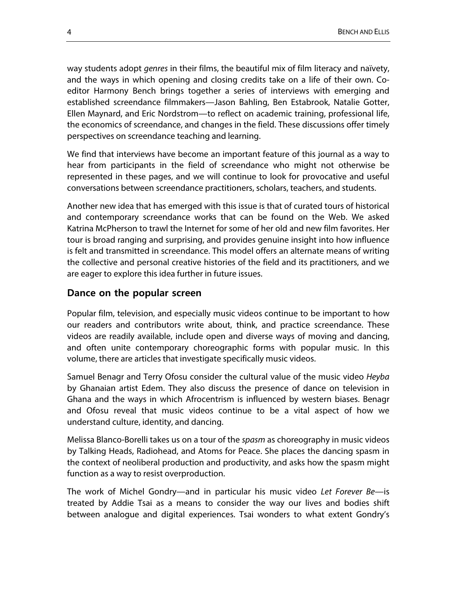way students adopt *genres* in their films, the beautiful mix of film literacy and naïvety, and the ways in which opening and closing credits take on a life of their own. Coeditor Harmony Bench brings together a series of interviews with emerging and established screendance filmmakers—Jason Bahling, Ben Estabrook, Natalie Gotter, Ellen Maynard, and Eric Nordstrom—to reflect on academic training, professional life, the economics of screendance, and changes in the field. These discussions offer timely perspectives on screendance teaching and learning.

We find that interviews have become an important feature of this journal as a way to hear from participants in the field of screendance who might not otherwise be represented in these pages, and we will continue to look for provocative and useful conversations between screendance practitioners, scholars, teachers, and students.

Another new idea that has emerged with this issue is that of curated tours of historical and contemporary screendance works that can be found on the Web. We asked Katrina McPherson to trawl the Internet for some of her old and new film favorites. Her tour is broad ranging and surprising, and provides genuine insight into how influence is felt and transmitted in screendance. This model offers an alternate means of writing the collective and personal creative histories of the field and its practitioners, and we are eager to explore this idea further in future issues.

#### **Dance on the popular screen**

Popular film, television, and especially music videos continue to be important to how our readers and contributors write about, think, and practice screendance. These videos are readily available, include open and diverse ways of moving and dancing, and often unite contemporary choreographic forms with popular music. In this volume, there are articles that investigate specifically music videos.

Samuel Benagr and Terry Ofosu consider the cultural value of the music video *Heyba* by Ghanaian artist Edem. They also discuss the presence of dance on television in Ghana and the ways in which Afrocentrism is influenced by western biases. Benagr and Ofosu reveal that music videos continue to be a vital aspect of how we understand culture, identity, and dancing.

Melissa Blanco-Borelli takes us on a tour of the *spasm* as choreography in music videos by Talking Heads, Radiohead, and Atoms for Peace. She places the dancing spasm in the context of neoliberal production and productivity, and asks how the spasm might function as a way to resist overproduction.

The work of Michel Gondry—and in particular his music video *Let Forever Be*—is treated by Addie Tsai as a means to consider the way our lives and bodies shift between analogue and digital experiences. Tsai wonders to what extent Gondry's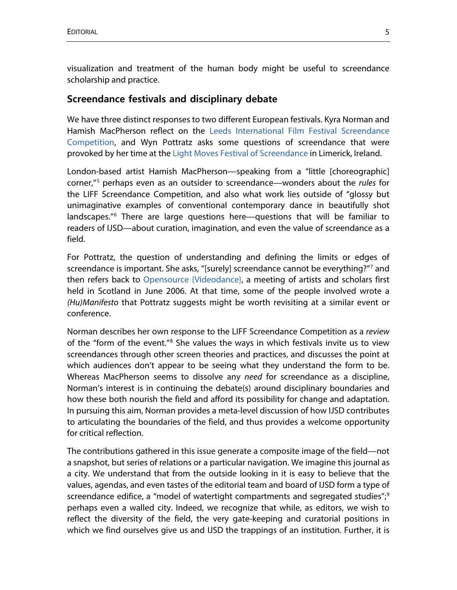visualization and treatment of the human body might be useful to screendance scholarship and practice.

#### **Screendance festivals and disciplinary debate**

We have three distinct responses to two different European festivals. Kyra Norman and Hamish MacPherson reflect on the [Leeds International Film Festival Screendance](http://www.leedsfilm.com/films/screendance-competition)  [Competition,](http://www.leedsfilm.com/films/screendance-competition) and Wyn Pottratz asks some questions of screendance that were provoked by her time at th[e Light Moves Festival of Screendance](http://www.lightmoves.ie/) in Limerick, Ireland.

London-based artist Hamish MacPherson—speaking from a "little [choreographic] corner,"[5](#page-9-4) perhaps even as an outsider to screendance—wonders about the *rules* for the LIFF Screendance Competition, and also what work lies outside of "glossy but unimaginative examples of conventional contemporary dance in beautifully shot landscapes.<sup>"[6](#page-9-5)</sup> There are large questions here—questions that will be familiar to readers of IJSD—about curation, imagination, and even the value of screendance as a field.

For Pottratz, the question of understanding and defining the limits or edges of screendance is important. She asks, "[surely] screendance cannot be everything?"[7](#page-9-6) and then refers back to [Opensource {Videodance},](http://www.lulu.com/shop/katrina-mcpherson-and-simon-fildes/opensource-videodance-symposium-15th-19th-june-2006-findhorn-scotland/paperback/product-4672691.html) a meeting of artists and scholars first held in Scotland in June 2006. At that time, some of the people involved wrote a *(Hu)Manifesto* that Pottratz suggests might be worth revisiting at a similar event or conference.

Norman describes her own response to the LIFF Screendance Competition as a *review* of the "form of the event."[8](#page-9-7) She values the ways in which festivals invite us to view screendances through other screen theories and practices, and discusses the point at which audiences don't appear to be seeing what they understand the form to be. Whereas MacPherson seems to dissolve any *need* for screendance as a discipline, Norman's interest is in continuing the debate(s) around disciplinary boundaries and how these both nourish the field and afford its possibility for change and adaptation. In pursuing this aim, Norman provides a meta-level discussion of how IJSD contributes to articulating the boundaries of the field, and thus provides a welcome opportunity for critical reflection.

The contributions gathered in this issue generate a composite image of the field—not a snapshot, but series of relations or a particular navigation. We imagine this journal as a city. We understand that from the outside looking in it is easy to believe that the values, agendas, and even tastes of the editorial team and board of IJSD form a type of screendance edifice, a "model of watertight compartments and segregated studies"; $\frac{9}{2}$  $\frac{9}{2}$  $\frac{9}{2}$ perhaps even a walled city. Indeed, we recognize that while, as editors, we wish to reflect the diversity of the field, the very gate-keeping and curatorial positions in which we find ourselves give us and IJSD the trappings of an institution. Further, it is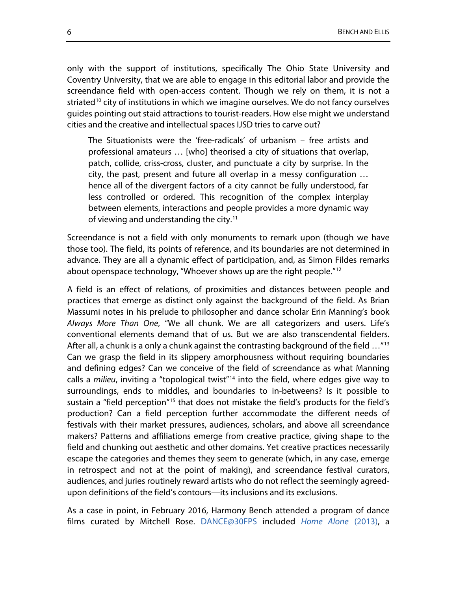only with the support of institutions, specifically The Ohio State University and Coventry University, that we are able to engage in this editorial labor and provide the screendance field with open-access content. Though we rely on them, it is not a striated<sup>[10](#page-10-0)</sup> city of institutions in which we imagine ourselves. We do not fancy ourselves guides pointing out staid attractions to tourist-readers. How else might we understand cities and the creative and intellectual spaces IJSD tries to carve out?

The Situationists were the 'free-radicals' of urbanism – free artists and professional amateurs … [who] theorised a city of situations that overlap, patch, collide, criss-cross, cluster, and punctuate a city by surprise. In the city, the past, present and future all overlap in a messy configuration … hence all of the divergent factors of a city cannot be fully understood, far less controlled or ordered. This recognition of the complex interplay between elements, interactions and people provides a more dynamic way of viewing and understanding the city.<sup>[11](#page-10-1)</sup>

Screendance is not a field with only monuments to remark upon (though we have those too). The field, its points of reference, and its boundaries are not determined in advance. They are all a dynamic effect of participation, and, as Simon Fildes remarks about openspace technology, "Whoever shows up are the right people."[12](#page-10-2)

A field is an effect of relations, of proximities and distances between people and practices that emerge as distinct only against the background of the field. As Brian Massumi notes in his prelude to philosopher and dance scholar Erin Manning's book *Always More Than One*, "We all chunk. We are all categorizers and users. Life's conventional elements demand that of us. But we are also transcendental fielders. After all, a chunk is a only a chunk against the contrasting background of the field  $\ldots$ "[13](#page-10-3) Can we grasp the field in its slippery amorphousness without requiring boundaries and defining edges? Can we conceive of the field of screendance as what Manning calls a *milieu*, inviting a "topological twist"[14](#page-10-4) into the field, where edges give way to surroundings, ends to middles, and boundaries to in-betweens? Is it possible to sustain a "field perception"<sup>[15](#page-10-5)</sup> that does not mistake the field's products for the field's production? Can a field perception further accommodate the different needs of festivals with their market pressures, audiences, scholars, and above all screendance makers? Patterns and affiliations emerge from creative practice, giving shape to the field and chunking out aesthetic and other domains. Yet creative practices necessarily escape the categories and themes they seem to generate (which, in any case, emerge in retrospect and not at the point of making), and screendance festival curators, audiences, and juries routinely reward artists who do not reflect the seemingly agreedupon definitions of the field's contours—its inclusions and its exclusions.

As a case in point, in February 2016, Harmony Bench attended a program of dance films curated by Mitchell Rose. [DANCE@30FPS](https://vimeo.com/152076057) included *[Home Alone](https://vimeo.com/71282287)* (2013), a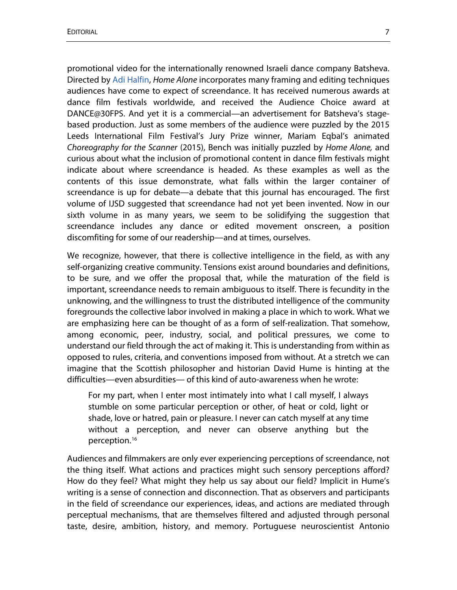promotional video for the internationally renowned Israeli dance company Batsheva. Directed by [Adi Halfin,](http://www.adihalfin.com/) *Home Alone* incorporates many framing and editing techniques audiences have come to expect of screendance. It has received numerous awards at dance film festivals worldwide, and received the Audience Choice award at DANCE@30FPS. And yet it is a commercial—an advertisement for Batsheva's stagebased production. Just as some members of the audience were puzzled by the 2015 Leeds International Film Festival's Jury Prize winner, Mariam Eqbal's animated *Choreography for the Scanner* (2015), Bench was initially puzzled by *Home Alone,* and curious about what the inclusion of promotional content in dance film festivals might indicate about where screendance is headed. As these examples as well as the contents of this issue demonstrate, what falls within the larger container of screendance is up for debate—a debate that this journal has encouraged. The first volume of IJSD suggested that screendance had not yet been invented. Now in our sixth volume in as many years, we seem to be solidifying the suggestion that screendance includes any dance or edited movement onscreen, a position discomfiting for some of our readership—and at times, ourselves.

We recognize, however, that there is collective intelligence in the field, as with any self-organizing creative community. Tensions exist around boundaries and definitions, to be sure, and we offer the proposal that, while the maturation of the field is important, screendance needs to remain ambiguous to itself. There is fecundity in the unknowing, and the willingness to trust the distributed intelligence of the community foregrounds the collective labor involved in making a place in which to work. What we are emphasizing here can be thought of as a form of self-realization. That somehow, among economic, peer, industry, social, and political pressures, we come to understand our field through the act of making it. This is understanding from within as opposed to rules, criteria, and conventions imposed from without. At a stretch we can imagine that the Scottish philosopher and historian David Hume is hinting at the difficulties—even absurdities— of this kind of auto-awareness when he wrote:

For my part, when I enter most intimately into what I call myself, I always stumble on some particular perception or other, of heat or cold, light or shade, love or hatred, pain or pleasure. I never can catch myself at any time without a perception, and never can observe anything but the perception.[16](#page-10-6)

Audiences and filmmakers are only ever experiencing perceptions of screendance, not the thing itself. What actions and practices might such sensory perceptions afford? How do they feel? What might they help us say about our field? Implicit in Hume's writing is a sense of connection and disconnection. That as observers and participants in the field of screendance our experiences, ideas, and actions are mediated through perceptual mechanisms, that are themselves filtered and adjusted through personal taste, desire, ambition, history, and memory. Portuguese neuroscientist Antonio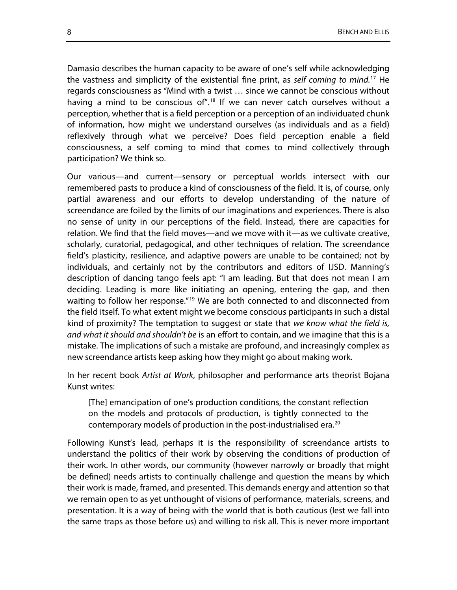Damasio describes the human capacity to be aware of one's self while acknowledging the vastness and simplicity of the existential fine print, as *self coming to mind.* [17](#page-10-7) He regards consciousness as "Mind with a twist … since we cannot be conscious without having a mind to be conscious of".<sup>[18](#page-10-8)</sup> If we can never catch ourselves without a perception, whether that is a field perception or a perception of an individuated chunk of information, how might we understand ourselves (as individuals and as a field) reflexively through what we perceive? Does field perception enable a field consciousness, a self coming to mind that comes to mind collectively through participation? We think so.

Our various—and current—sensory or perceptual worlds intersect with our remembered pasts to produce a kind of consciousness of the field. It is, of course, only partial awareness and our efforts to develop understanding of the nature of screendance are foiled by the limits of our imaginations and experiences. There is also no sense of unity in our perceptions of the field. Instead, there are capacities for relation. We find that the field moves—and we move with it—as we cultivate creative, scholarly, curatorial, pedagogical, and other techniques of relation. The screendance field's plasticity, resilience, and adaptive powers are unable to be contained; not by individuals, and certainly not by the contributors and editors of IJSD. Manning's description of dancing tango feels apt: "I am leading. But that does not mean I am deciding. Leading is more like initiating an opening, entering the gap, and then waiting to follow her response.<sup>"[19](#page-10-9)</sup> We are both connected to and disconnected from the field itself. To what extent might we become conscious participants in such a distal kind of proximity? The temptation to suggest or state that *we know what the field is, and what it should and shouldn't be* is an effort to contain, and we imagine that this is a mistake. The implications of such a mistake are profound, and increasingly complex as new screendance artists keep asking how they might go about making work.

In her recent book *Artist at Work*, philosopher and performance arts theorist Bojana Kunst writes:

[The] emancipation of one's production conditions, the constant reflection on the models and protocols of production, is tightly connected to the contemporary models of production in the post-industrialised era.<sup>[20](#page-10-10)</sup>

Following Kunst's lead, perhaps it is the responsibility of screendance artists to understand the politics of their work by observing the conditions of production of their work. In other words, our community (however narrowly or broadly that might be defined) needs artists to continually challenge and question the means by which their work is made, framed, and presented. This demands energy and attention so that we remain open to as yet unthought of visions of performance, materials, screens, and presentation. It is a way of being with the world that is both cautious (lest we fall into the same traps as those before us) and willing to risk all. This is never more important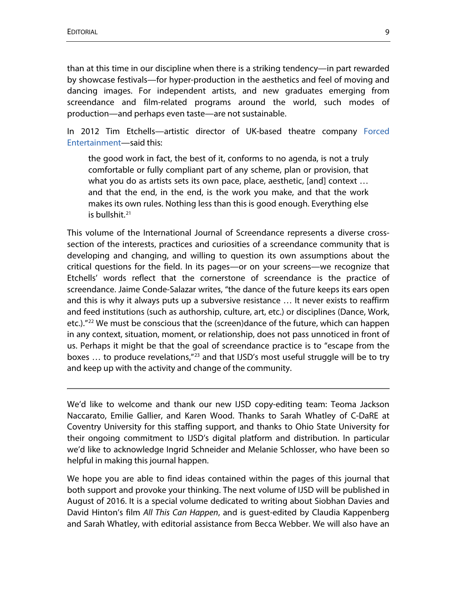than at this time in our discipline when there is a striking tendency—in part rewarded by showcase festivals—for hyper-production in the aesthetics and feel of moving and dancing images. For independent artists, and new graduates emerging from screendance and film-related programs around the world, such modes of production—and perhaps even taste—are not sustainable.

In 2012 Tim Etchells—artistic director of UK-based theatre company [Forced](http://www.forcedentertainment.com/)  [Entertainment—](http://www.forcedentertainment.com/)said this:

the good work in fact, the best of it, conforms to no agenda, is not a truly comfortable or fully compliant part of any scheme, plan or provision, that what you do as artists sets its own pace, place, aesthetic, [and] context … and that the end, in the end, is the work you make, and that the work makes its own rules. Nothing less than this is good enough. Everything else is bullshit. $21$ 

This volume of the International Journal of Screendance represents a diverse crosssection of the interests, practices and curiosities of a screendance community that is developing and changing, and willing to question its own assumptions about the critical questions for the field. In its pages—or on your screens—we recognize that Etchells' words reflect that the cornerstone of screendance is the practice of screendance. Jaime Conde-Salazar writes, "the dance of the future keeps its ears open and this is why it always puts up a subversive resistance … It never exists to reaffirm and feed institutions (such as authorship, culture, art, etc.) or disciplines (Dance, Work, etc.)."<sup>[22](#page-10-12)</sup> We must be conscious that the (screen)dance of the future, which can happen in any context, situation, moment, or relationship, does not pass unnoticed in front of us. Perhaps it might be that the goal of screendance practice is to "escape from the boxes  $\ldots$  to produce revelations,"<sup>[23](#page-10-13)</sup> and that IJSD's most useful struggle will be to try and keep up with the activity and change of the community.

We'd like to welcome and thank our new IJSD copy-editing team: Teoma Jackson Naccarato, Emilie Gallier, and Karen Wood. Thanks to Sarah Whatley of C-DaRE at Coventry University for this staffing support, and thanks to Ohio State University for their ongoing commitment to IJSD's digital platform and distribution. In particular we'd like to acknowledge Ingrid Schneider and Melanie Schlosser, who have been so helpful in making this journal happen.

We hope you are able to find ideas contained within the pages of this journal that both support and provoke your thinking. The next volume of IJSD will be published in August of 2016. It is a special volume dedicated to writing about Siobhan Davies and David Hinton's film *All This Can Happen*, and is guest-edited by Claudia Kappenberg and Sarah Whatley, with editorial assistance from Becca Webber. We will also have an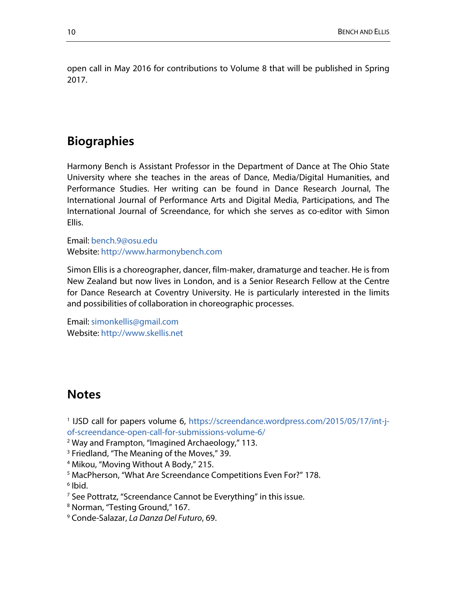open call in May 2016 for contributions to Volume 8 that will be published in Spring 2017.

## **Biographies**

Harmony Bench is Assistant Professor in the Department of Dance at The Ohio State University where she teaches in the areas of Dance, Media/Digital Humanities, and Performance Studies. Her writing can be found in Dance Research Journal, The International Journal of Performance Arts and Digital Media, Participations, and The International Journal of Screendance, for which she serves as co-editor with Simon Ellis.

Email: [bench.9@osu.edu](mailto:bench.9@osu.edu) Website: [http://www.harmonybench.com](http://www.harmonybench.com/)

Simon Ellis is a choreographer, dancer, film-maker, dramaturge and teacher. He is from New Zealand but now lives in London, and is a Senior Research Fellow at the Centre for Dance Research at Coventry University. He is particularly interested in the limits and possibilities of collaboration in choreographic processes.

Email: [simonkellis@gmail.com](mailto:simonkellis@gmail.com) Website: [http://www.skellis.net](http://www.skellis.net/)

### **Notes**

<span id="page-9-0"></span><sup>1</sup> IJSD call for papers volume 6, [https://screendance.wordpress.com/2015/05/17/int-j](https://screendance.wordpress.com/2015/05/17/int-j-of-screendance-open-call-for-submissions-volume-6/)[of-screendance-open-call-for-submissions-volume-6/](https://screendance.wordpress.com/2015/05/17/int-j-of-screendance-open-call-for-submissions-volume-6/)

<span id="page-9-1"></span><sup>2</sup> Way and Frampton, "Imagined Archaeology," 113.

<span id="page-9-2"></span><sup>3</sup> Friedland, "The Meaning of the Moves," 39.

<span id="page-9-3"></span><sup>4</sup> Mikou, "Moving Without A Body," 215.

<span id="page-9-4"></span><sup>5</sup> MacPherson, "What Are Screendance Competitions Even For?" 178.

<span id="page-9-5"></span> $6$  Ibid.

<span id="page-9-6"></span><sup>7</sup> See Pottratz, "Screendance Cannot be Everything" in this issue.

<span id="page-9-7"></span><sup>8</sup> Norman, "Testing Ground," 167.

<span id="page-9-8"></span><sup>9</sup> Conde-Salazar, *La Danza Del Futuro*, 69.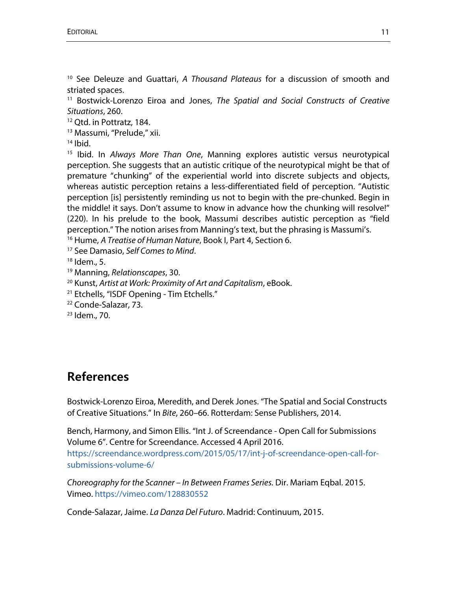<span id="page-10-0"></span><sup>10</sup> See Deleuze and Guattari, *A Thousand Plateaus* for a discussion of smooth and striated spaces.

<span id="page-10-1"></span><sup>11</sup> Bostwick-Lorenzo Eiroa and Jones, *The Spatial and Social Constructs of Creative Situations*, 260.

<span id="page-10-2"></span><sup>12</sup> Qtd. in Pottratz, 184.

<span id="page-10-3"></span><sup>13</sup> Massumi, "Prelude," xii.

<span id="page-10-4"></span> $14$  Ibid.

<span id="page-10-5"></span><sup>15</sup> Ibid. In *Always More Than One*, Manning explores autistic versus neurotypical perception. She suggests that an autistic critique of the neurotypical might be that of premature "chunking" of the experiential world into discrete subjects and objects, whereas autistic perception retains a less-differentiated field of perception. "Autistic perception [is] persistently reminding us not to begin with the pre-chunked. Begin in the middle! it says. Don't assume to know in advance how the chunking will resolve!" (220). In his prelude to the book, Massumi describes autistic perception as "field perception." The notion arises from Manning's text, but the phrasing is Massumi's.

<span id="page-10-6"></span><sup>16</sup> Hume, *A Treatise of Human Nature*, Book I, Part 4, Section 6.

<span id="page-10-7"></span><sup>17</sup> See Damasio, *Self Comes to Mind*.

<span id="page-10-8"></span> $18$  Idem., 5.

<span id="page-10-9"></span><sup>19</sup> Manning, *Relationscapes*, 30.

<span id="page-10-10"></span><sup>20</sup> Kunst, *Artist at Work: Proximity of Art and Capitalism*, eBook.

<span id="page-10-11"></span><sup>21</sup> Etchells, "ISDF Opening - Tim Etchells."

<span id="page-10-12"></span><sup>22</sup> Conde-Salazar, 73.

<span id="page-10-13"></span><sup>23</sup> Idem., 70.

### **References**

Bostwick-Lorenzo Eiroa, Meredith, and Derek Jones. "The Spatial and Social Constructs of Creative Situations." In *Bite*, 260–66. Rotterdam: Sense Publishers, 2014.

Bench, Harmony, and Simon Ellis. "Int J. of Screendance - Open Call for Submissions Volume 6". Centre for Screendance. Accessed 4 April 2016. [https://screendance.wordpress.com/2015/05/17/int-j-of-screendance-open-call-for](https://screendance.wordpress.com/2015/05/17/int-j-of-screendance-open-call-for-submissions-volume-6/)[submissions-volume-6/](https://screendance.wordpress.com/2015/05/17/int-j-of-screendance-open-call-for-submissions-volume-6/)

*Choreography for the Scanner – In Between Frames Series.* Dir. Mariam Eqbal. 2015. Vimeo.<https://vimeo.com/128830552>

Conde-Salazar, Jaime. *La Danza Del Futuro*. Madrid: Continuum, 2015.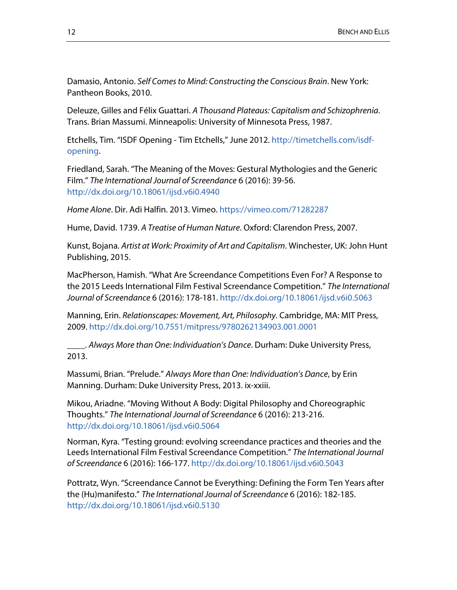Damasio, Antonio. *Self Comes to Mind: Constructing the Conscious Brain*. New York: Pantheon Books, 2010.

Deleuze, Gilles and Félix Guattari. *A Thousand Plateaus: Capitalism and Schizophrenia*. Trans. Brian Massumi. Minneapolis: University of Minnesota Press, 1987.

Etchells, Tim. "ISDF Opening - Tim Etchells," June 2012. [http://timetchells.com/isdf](http://timetchells.com/isdf-opening)[opening.](http://timetchells.com/isdf-opening)

Friedland, Sarah. "The Meaning of the Moves: Gestural Mythologies and the Generic Film." *The International Journal of Screendance* 6 (2016): 39-56. <http://dx.doi.org/10.18061/ijsd.v6i0.4940>

*Home Alone*. Dir. Adi Halfin. 2013. Vimeo.<https://vimeo.com/71282287>

Hume, David. 1739. *A Treatise of Human Nature*. Oxford: Clarendon Press, 2007.

Kunst, Bojana. *Artist at Work: Proximity of Art and Capitalism*. Winchester, UK: John Hunt Publishing, 2015.

MacPherson, Hamish. "What Are Screendance Competitions Even For? A Response to the 2015 Leeds International Film Festival Screendance Competition." *The International Journal of Screendance* 6 (2016): 178-181.<http://dx.doi.org/10.18061/ijsd.v6i0.5063>

Manning, Erin. *Relationscapes: Movement, Art, Philosophy.* Cambridge, MA: MIT Press, 2009[. http://dx.doi.org/10.7551/mitpress/9780262134903.001.0001](http://dx.doi.org/10.7551/mitpress/9780262134903.001.0001)

\_\_\_\_. *Always More than One: Individuation's Dance*. Durham: Duke University Press, 2013.

Massumi, Brian. "Prelude." *Always More than One: Individuation's Dance*, by Erin Manning. Durham: Duke University Press, 2013. ix-xxiii.

Mikou, Ariadne. "Moving Without A Body: Digital Philosophy and Choreographic Thoughts." *The International Journal of Screendance* 6 (2016): 213-216. <http://dx.doi.org/10.18061/ijsd.v6i0.5064>

Norman, Kyra. "Testing ground: evolving screendance practices and theories and the Leeds International Film Festival Screendance Competition." *The International Journal of Screendance* 6 (2016): 166-177.<http://dx.doi.org/10.18061/ijsd.v6i0.5043>

Pottratz, Wyn. "Screendance Cannot be Everything: Defining the Form Ten Years after the (Hu)manifesto." *The International Journal of Screendance* 6 (2016): 182-185. <http://dx.doi.org/10.18061/ijsd.v6i0.5130>